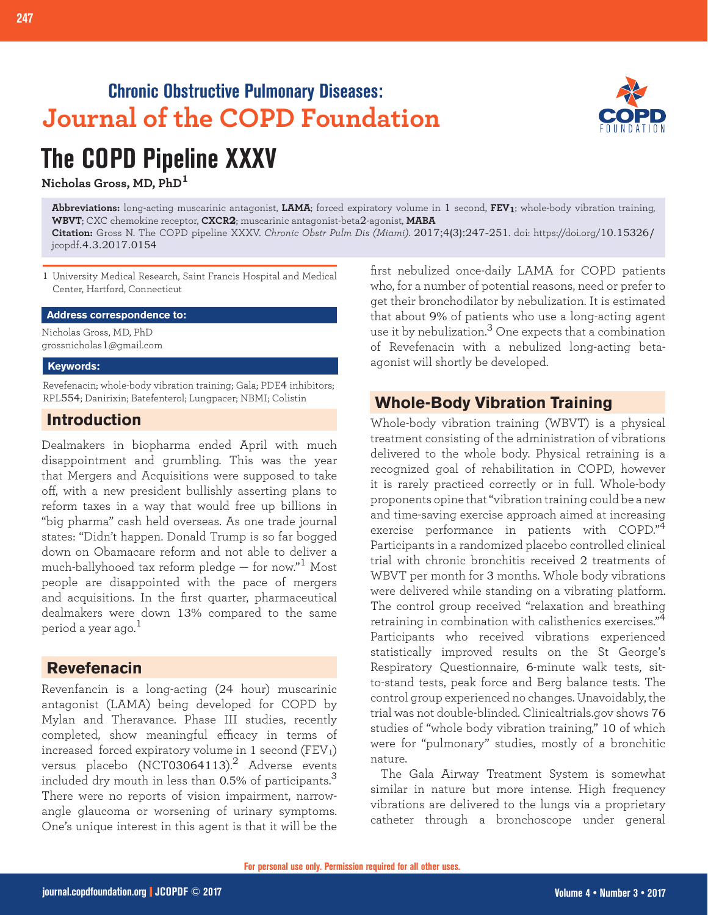# **Chronic Obstructive Pulmonary Diseases: Journal of the COPD Foundation**



**Nicholas Gross, MD, PhD<sup>1</sup>**

**Abbreviations:** long-acting muscarinic antagonist, **LAMA**; forced expiratory volume in 1 second, **FEV1**; whole-body vibration training, **WBVT**; CXC chemokine receptor, **CXCR2**; muscarinic antagonist-beta2-agonist, **MABA Citation:** Gross N. The COPD pipeline XXXV. *Chronic Obstr Pulm Dis (Miami)*. 2017;4(3):247-251. doi: https://doi.org/10.15326/ jcopdf.4.3.2017.0154

1 University Medical Research, Saint Francis Hospital and Medical Center, Hartford, Connecticut

**Address correspondence to:**

Nicholas Gross, MD, PhD grossnicholas1@gmail.com

#### **Keywords:**

Revefenacin; whole-body vibration training; Gala; PDE4 inhibitors; RPL554; Danirixin; Batefenterol; Lungpacer; NBMI; Colistin

### **Introduction**

Dealmakers in biopharma ended April with much disappointment and grumbling. This was the year that Mergers and Acquisitions were supposed to take off, with a new president bullishly asserting plans to reform taxes in a way that would free up billions in "big pharma" cash held overseas. As one trade journal states: "Didn't happen. Donald Trump is so far bogged down on Obamacare reform and not able to deliver a much-ballyhooed tax reform pledge  $-$  for now."<sup>1</sup> Most people are disappointed with the pace of mergers and acquisitions. In the first quarter, pharmaceutical dealmakers were down 13% compared to the same period a year ago.<sup>1</sup>

### **Revefenacin**

Revenfancin is a long-acting (24 hour) muscarinic antagonist (LAMA) being developed for COPD by Mylan and Theravance. Phase III studies, recently completed, show meaningful efficacy in terms of increased forced expiratory volume in 1 second  $(FEV<sub>1</sub>)$ versus placebo (NCT03064113).<sup>2</sup> Adverse events included dry mouth in less than 0.5% of participants.<sup>3</sup> There were no reports of vision impairment, narrowangle glaucoma or worsening of urinary symptoms. One's unique interest in this agent is that it will be the

first nebulized once-daily LAMA for COPD patients who, for a number of potential reasons, need or prefer to get their bronchodilator by nebulization. It is estimated that about 9% of patients who use a long-acting agent use it by nebulization.<sup>3</sup> One expects that a combination of Revefenacin with a nebulized long-acting betaagonist will shortly be developed.

## **Whole-Body Vibration Training**

Whole-body vibration training (WBVT) is a physical treatment consisting of the administration of vibrations delivered to the whole body. Physical retraining is a recognized goal of rehabilitation in COPD, however it is rarely practiced correctly or in full. Whole-body proponents opine that "vibration training could be a new and time-saving exercise approach aimed at increasing exercise performance in patients with COPD."<sup>4</sup> Participants in a randomized placebo controlled clinical trial with chronic bronchitis received 2 treatments of WBVT per month for 3 months. Whole body vibrations were delivered while standing on a vibrating platform. The control group received "relaxation and breathing retraining in combination with calisthenics exercises."<sup>4</sup> Participants who received vibrations experienced statistically improved results on the St George's Respiratory Questionnaire, 6-minute walk tests, sitto-stand tests, peak force and Berg balance tests. The control group experienced no changes. Unavoidably, the trial was not double-blinded. Clinicaltrials.gov shows 76 studies of "whole body vibration training," 10 of which were for "pulmonary" studies, mostly of a bronchitic nature.

The Gala Airway Treatment System is somewhat similar in nature but more intense. High frequency vibrations are delivered to the lungs via a proprietary catheter through a bronchoscope under general

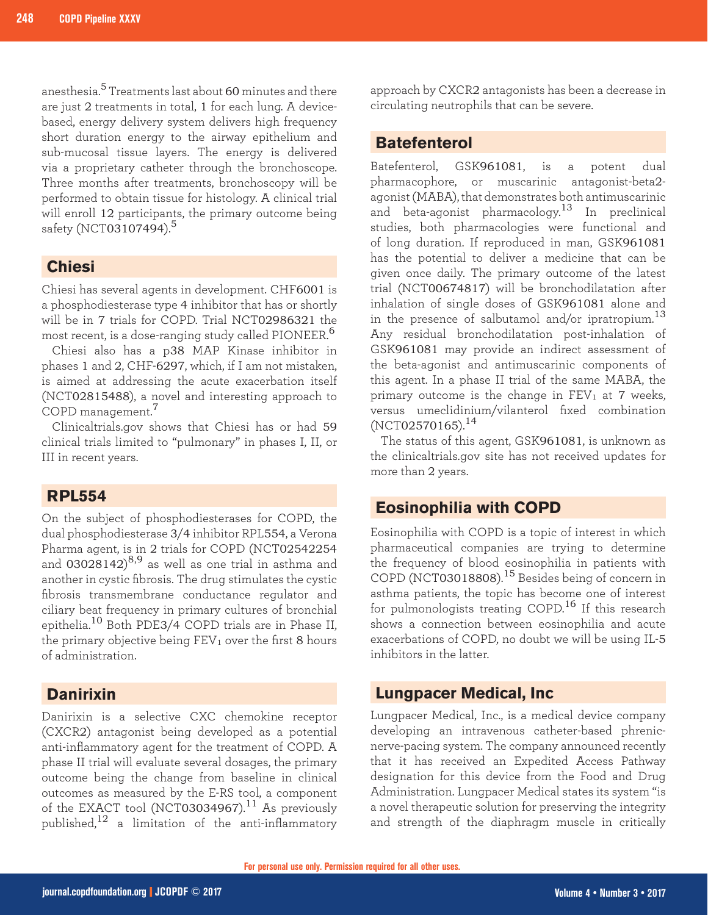anesthesia.5 Treatments last about 60 minutes and there are just 2 treatments in total, 1 for each lung. A devicebased, energy delivery system delivers high frequency short duration energy to the airway epithelium and sub-mucosal tissue layers. The energy is delivered via a proprietary catheter through the bronchoscope. Three months after treatments, bronchoscopy will be performed to obtain tissue for histology. A clinical trial will enroll 12 participants, the primary outcome being safety (NCT03107494).<sup>5</sup>

### **Chiesi**

Chiesi has several agents in development. CHF6001 is a phosphodiesterase type 4 inhibitor that has or shortly will be in 7 trials for COPD. Trial NCT02986321 the most recent, is a dose-ranging study called PIONEER.<sup>6</sup>

Chiesi also has a p38 MAP Kinase inhibitor in phases 1 and 2, CHF-6297, which, if I am not mistaken, is aimed at addressing the acute exacerbation itself (NCT02815488), a novel and interesting approach to COPD management.<sup>7</sup>

Clinicaltrials.gov shows that Chiesi has or had 59 clinical trials limited to "pulmonary" in phases I, II, or III in recent years.

#### **RPL554**

On the subject of phosphodiesterases for COPD, the dual phosphodiesterase 3/4 inhibitor RPL554, a Verona Pharma agent, is in 2 trials for COPD (NCT02542254 and 03028142) $^{8,9}$  as well as one trial in asthma and another in cystic fibrosis. The drug stimulates the cystic fibrosis transmembrane conductance regulator and ciliary beat frequency in primary cultures of bronchial epithelia.10 Both PDE3/4 COPD trials are in Phase II, the primary objective being  $FEV_1$  over the first 8 hours of administration.

#### **Danirixin**

Danirixin is a selective CXC chemokine receptor (CXCR2) antagonist being developed as a potential anti-inflammatory agent for the treatment of COPD. A phase II trial will evaluate several dosages, the primary outcome being the change from baseline in clinical outcomes as measured by the E-RS tool, a component of the EXACT tool (NCT03034967).<sup>11</sup> As previously published, $12$  a limitation of the anti-inflammatory approach by CXCR2 antagonists has been a decrease in circulating neutrophils that can be severe.

#### **Batefenterol**

Batefenterol, GSK961081, is a potent dual pharmacophore, or muscarinic antagonist-beta2 agonist (MABA), that demonstrates both antimuscarinic and beta-agonist pharmacology.13 In preclinical studies, both pharmacologies were functional and of long duration. If reproduced in man, GSK961081 has the potential to deliver a medicine that can be given once daily. The primary outcome of the latest trial (NCT00674817) will be bronchodilatation after inhalation of single doses of GSK961081 alone and in the presence of salbutamol and/or ipratropium.<sup>13</sup> Any residual bronchodilatation post-inhalation of GSK961081 may provide an indirect assessment of the beta-agonist and antimuscarinic components of this agent. In a phase II trial of the same MABA, the primary outcome is the change in  $FEV<sub>1</sub>$  at 7 weeks, versus umeclidinium/vilanterol fixed combination  $(NCT02570165).$ <sup>14</sup>

The status of this agent, GSK961081, is unknown as the clinicaltrials.gov site has not received updates for more than 2 years.

#### **Eosinophilia with COPD**

Eosinophilia with COPD is a topic of interest in which pharmaceutical companies are trying to determine the frequency of blood eosinophilia in patients with COPD (NCT03018808).15 Besides being of concern in asthma patients, the topic has become one of interest for pulmonologists treating COPD.<sup>16</sup> If this research shows a connection between eosinophilia and acute exacerbations of COPD, no doubt we will be using IL-5 inhibitors in the latter.

#### **Lungpacer Medical, Inc**

Lungpacer Medical, Inc., is a medical device company developing an intravenous catheter-based phrenicnerve-pacing system. The company announced recently that it has received an Expedited Access Pathway designation for this device from the Food and Drug Administration. Lungpacer Medical states its system "is a novel therapeutic solution for preserving the integrity and strength of the diaphragm muscle in critically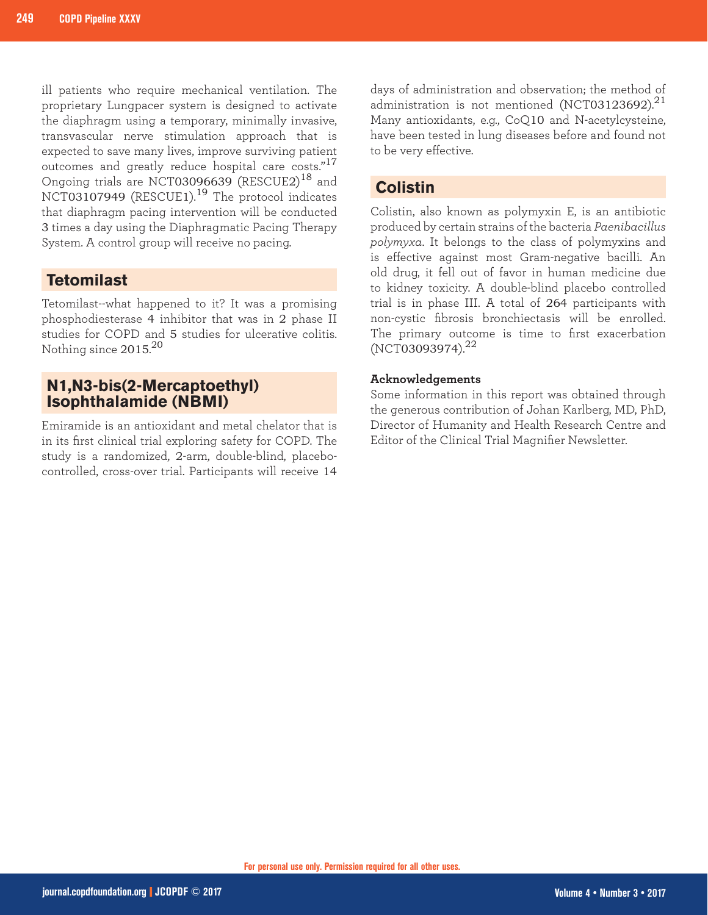ill patients who require mechanical ventilation. The proprietary Lungpacer system is designed to activate the diaphragm using a temporary, minimally invasive, transvascular nerve stimulation approach that is expected to save many lives, improve surviving patient outcomes and greatly reduce hospital care costs."<sup>17</sup> Ongoing trials are NCT03096639 (RESCUE2)<sup>18</sup> and NCT03107949 (RESCUE1).<sup>19</sup> The protocol indicates that diaphragm pacing intervention will be conducted 3 times a day using the Diaphragmatic Pacing Therapy System. A control group will receive no pacing.

#### **Tetomilast**

Tetomilast--what happened to it? It was a promising phosphodiesterase 4 inhibitor that was in 2 phase II studies for COPD and 5 studies for ulcerative colitis. Nothing since  $2015.^{20}$ 

#### **N1,N3-bis(2-Mercaptoethyl) Isophthalamide (NBMI)**

Emiramide is an antioxidant and metal chelator that is in its first clinical trial exploring safety for COPD. The study is a randomized, 2-arm, double-blind, placebocontrolled, cross-over trial. Participants will receive 14

days of administration and observation; the method of administration is not mentioned (NCT03123692). $^{21}$ Many antioxidants, e.g., CoQ10 and N-acetylcysteine, have been tested in lung diseases before and found not to be very effective.

### **Colistin**

Colistin, also known as polymyxin E, is an antibiotic produced by certain strains of the bacteria *Paenibacillus polymyxa*. It belongs to the class of polymyxins and is effective against most Gram-negative bacilli. An old drug, it fell out of favor in human medicine due to kidney toxicity. A double-blind placebo controlled trial is in phase III. A total of 264 participants with non-cystic fibrosis bronchiectasis will be enrolled. The primary outcome is time to first exacerbation  $(NCT03093974).^{22}$ 

#### **Acknowledgements**

Some information in this report was obtained through the generous contribution of Johan Karlberg, MD, PhD, Director of Humanity and Health Research Centre and Editor of the Clinical Trial Magnifier Newsletter.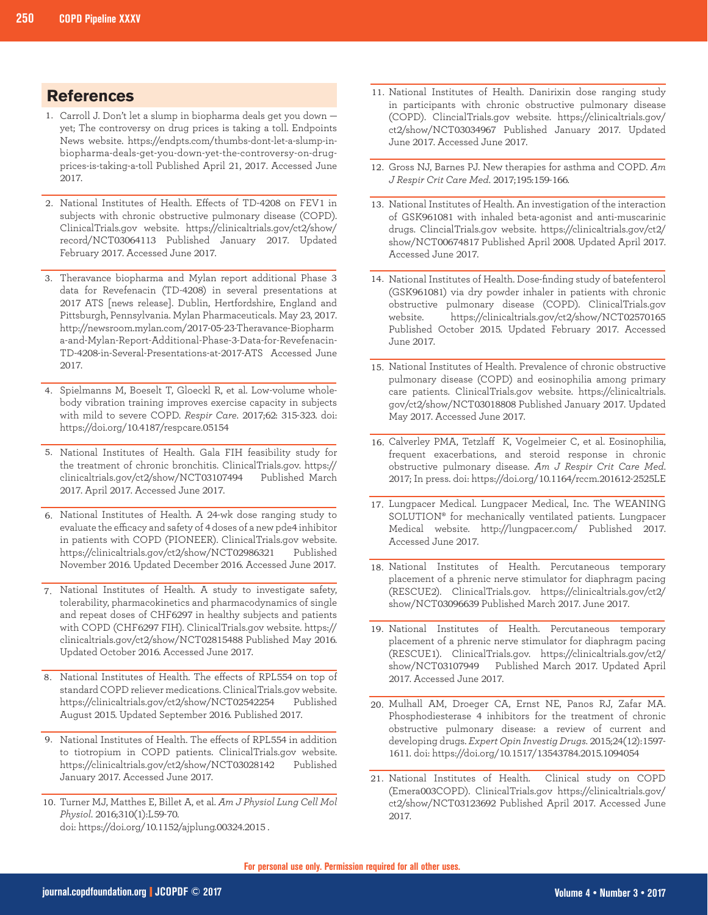#### **References**

- Carroll J. Don't let a slump in biopharma deals get you down 1. yet; The controversy on drug prices is taking a toll. Endpoints News website. https://endpts.com/thumbs-dont-let-a-slump-inbiopharma-deals-get-you-down-yet-the-controversy-on-drugprices-is-taking-a-toll Published April 21, 2017. Accessed June 2017.
- 2. National Institutes of Health. Effects of TD-4208 on FEV1 in subjects with chronic obstructive pulmonary disease (COPD). ClinicalTrials.gov website. https://clinicaltrials.gov/ct2/show/ record/NCT03064113 Published January 2017. Updated February 2017. Accessed June 2017.
- Theravance biopharma and Mylan report additional Phase 3 3. data for Revefenacin (TD-4208) in several presentations at 2017 ATS [news release]. Dublin, Hertfordshire, England and Pittsburgh, Pennsylvania. Mylan Pharmaceuticals. May 23, 2017. http://newsroom.mylan.com/2017-05-23-Theravance-Biopharm a-and-Mylan-Report-Additional-Phase-3-Data-for-Revefenacin-TD-4208-in-Several-Presentations-at-2017-ATS Accessed June 2017.
- 4. Spielmanns M, Boeselt T, Gloeckl R, et al. Low-volume wholebody vibration training improves exercise capacity in subjects with mild to severe COPD. *Respir Care*. 2017;62: 315-323. doi: https://doi.org/10.4187/respcare.05154
- 5. National Institutes of Health. Gala FIH feasibility study for the treatment of chronic bronchitis. ClinicalTrials.gov. https:// clinicaltrials.gov/ct2/show/NCT03107494 Published March 2017. April 2017. Accessed June 2017.
- 6. National Institutes of Health. A 24-wk dose ranging study to evaluate the efficacy and safety of 4 doses of a new pde4 inhibitor in patients with COPD (PIONEER). ClinicalTrials.gov website. https://clinicaltrials.gov/ct2/show/NCT02986321 Published November 2016. Updated December 2016. Accessed June 2017.
- National Institutes of Health. A study to investigate safety, 7. tolerability, pharmacokinetics and pharmacodynamics of single and repeat doses of CHF6297 in healthy subjects and patients with COPD (CHF6297 FIH). ClinicalTrials.gov website. https:// clinicaltrials.gov/ct2/show/NCT02815488 Published May 2016. Updated October 2016. Accessed June 2017.
- 8. National Institutes of Health. The effects of RPL554 on top of standard COPD reliever medications. ClinicalTrials.gov website. https://clinicaltrials.gov/ct2/show/NCT02542254 Published August 2015. Updated September 2016. Published 2017.
- National Institutes of Health. The effects of RPL554 in addition 9. to tiotropium in COPD patients. ClinicalTrials.gov website. https://clinicaltrials.gov/ct2/show/NCT03028142 Published January 2017. Accessed June 2017.
- 10. Turner MJ, Matthes E, Billet A, et al. Am J Physiol Lung Cell Mol *Physiol*. 2016;310(1):L59-70. doi: https://doi.org/10.1152/ajplung.00324.2015 .
- 11. National Institutes of Health. Danirixin dose ranging study in participants with chronic obstructive pulmonary disease (COPD). ClincialTrials.gov website. https://clinicaltrials.gov/ ct2/show/NCT03034967 Published January 2017. Updated June 2017. Accessed June 2017.
- 12. Gross NJ, Barnes PJ. New therapies for asthma and COPD. Am *J Respir Crit Care Med*. 2017;195:159-166.
- 13. National Institutes of Health. An investigation of the interaction of GSK961081 with inhaled beta-agonist and anti-muscarinic drugs. ClincialTrials.gov website. https://clinicaltrials.gov/ct2/ show/NCT00674817 Published April 2008. Updated April 2017. Accessed June 2017.
- 14. National Institutes of Health. Dose-finding study of batefenterol (GSK961081) via dry powder inhaler in patients with chronic obstructive pulmonary disease (COPD). ClinicalTrials.gov website. https://clinicaltrials.gov/ct2/show/NCT02570165 Published October 2015. Updated February 2017. Accessed June 2017.
- 15. National Institutes of Health. Prevalence of chronic obstructive pulmonary disease (COPD) and eosinophilia among primary care patients. ClinicalTrials.gov website. https://clinicaltrials. gov/ct2/show/NCT03018808 Published January 2017. Updated May 2017. Accessed June 2017.
- 16. Calverley PMA, Tetzlaff K, Vogelmeier C, et al. Eosinophilia, frequent exacerbations, and steroid response in chronic obstructive pulmonary disease. *Am J Respir Crit Care Med*. 2017; In press. doi: https://doi.org/10.1164/rccm.201612-2525LE
- 17. Lungpacer Medical. Lungpacer Medical, Inc. The WEANING SOLUTION® for mechanically ventilated patients. Lungpacer Medical website. http://lungpacer.com/ Published 2017. Accessed June 2017.
- 18. National Institutes of Health. Percutaneous temporary placement of a phrenic nerve stimulator for diaphragm pacing (RESCUE2). ClinicalTrials.gov. https://clinicaltrials.gov/ct2/ show/NCT03096639 Published March 2017. June 2017.
- 19. National Institutes of Health. Percutaneous temporary placement of a phrenic nerve stimulator for diaphragm pacing (RESCUE1). ClinicalTrials.gov. https://clinicaltrials.gov/ct2/ show/NCT03107949 Published March 2017. Updated April 2017. Accessed June 2017.
- Mulhall AM, Droeger CA, Ernst NE, Panos RJ, Zafar MA. 20. Phosphodiesterase 4 inhibitors for the treatment of chronic obstructive pulmonary disease: a review of current and developing drugs. *Expert Opin Investig Drugs*. 2015;24(12):1597- 1611. doi: https://doi.org/10.1517/13543784.2015.1094054
- 21. National Institutes of Health. Clinical study on COPD (Emera003COPD). ClinicalTrials.gov https://clinicaltrials.gov/ ct2/show/NCT03123692 Published April 2017. Accessed June 2017.